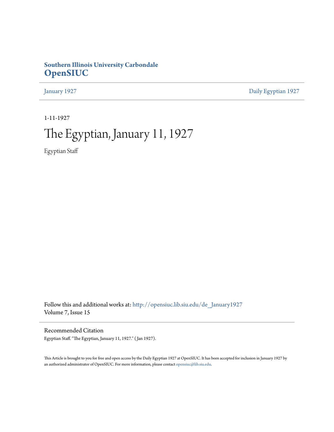# **Southern Illinois University Carbondale [OpenSIUC](http://opensiuc.lib.siu.edu?utm_source=opensiuc.lib.siu.edu%2Fde_January1927%2F3&utm_medium=PDF&utm_campaign=PDFCoverPages)**

[January 1927](http://opensiuc.lib.siu.edu/de_January1927?utm_source=opensiuc.lib.siu.edu%2Fde_January1927%2F3&utm_medium=PDF&utm_campaign=PDFCoverPages) [Daily Egyptian 1927](http://opensiuc.lib.siu.edu/de_1927?utm_source=opensiuc.lib.siu.edu%2Fde_January1927%2F3&utm_medium=PDF&utm_campaign=PDFCoverPages)

1-11-1927

# The Egyptian, January 11, 1927

Egyptian Staff

Follow this and additional works at: [http://opensiuc.lib.siu.edu/de\\_January1927](http://opensiuc.lib.siu.edu/de_January1927?utm_source=opensiuc.lib.siu.edu%2Fde_January1927%2F3&utm_medium=PDF&utm_campaign=PDFCoverPages) Volume 7, Issue 15

Recommended Citation

Egyptian Staff. "The Egyptian, January 11, 1927." ( Jan 1927).

This Article is brought to you for free and open access by the Daily Egyptian 1927 at OpenSIUC. It has been accepted for inclusion in January 1927 by an authorized administrator of OpenSIUC. For more information, please contact [opensiuc@lib.siu.edu.](mailto:opensiuc@lib.siu.edu)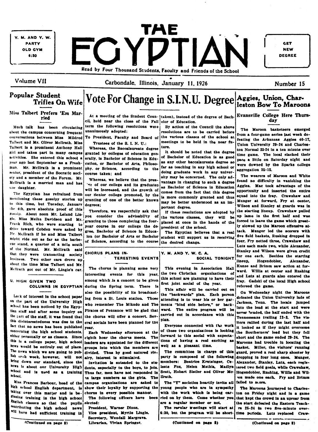Y. M. AND Y. W. **PARTY OLD GYM**  $6:30$ 

IAE FGYDTIAN Read by Four Thousand Students, Faculty and Friends of the School

Carbondale, Illinois, January 11, 1926

**GET NEW DEGREE** 

Volume VII

# **Popular Student Trifles On Wife**

# Vote For Change in S.I.N.U. Degree Aggies, Union, Charleston Bow To Maroons

### Miss Talbert Prefers 'Em Married

Much talk has been circulating about the campus concerning frequent conversations between Miss Mildred Talbert and Mr. Oliver McIlrath. Miss Taibert is a prominent Anthony Hall girl and takes part in many campus activities. She entered this school a year ago last September as a Freshman. Mr. McIlrath is a prominent senior, president of the Socratic society and a member of the Forum. Mr. Mellrath is a married man and has one daughter.

The Egyptian has refrained from mentioning these gossipy stories up to this time, but Tuesday, January the 4th, gave absolute proof of this gossip. About noon Mr. Leland Lingie. Miss Melba Davidson and Mr. Frank Rich, who were starting to drive toward Cobden were asked by Mr. Mellrath if he and Miss Talbert might ride out as far as the barbecue stand, a quarter of a mile south of the Normal. Mr. Mclirath said that they were transacting society business. Two other cars drove up about the time Miss Talbert and Mr. Mellrath got out of Mr. Lingle's car.

U. HIGH GIVEN TWO **COLUMNS IN EGYPTIAN** 

Lack of interest in the school paper on the part of the University High school has been noticed by the Egyptian staff and after some inquiry on the part of the staff, it was found that this disinterestedness was due to the fact that no news has been published concerning the high school students. either personally or as classes. Since this is a college paper, high school news would be entirely out of place. The news which we are going to publish erch week, however, will not bring down our standard, since the news is about our University High school and is used as a training school.

Miss Frances Barbour, head of the high school English department, is taking over this matter and is betinning training in the high school English classes so that the pupils contributing the high school news vill have had sufficient training in

At a meeting of the Student Coun- | taken), instead of the degree of Bachcil, held near the close of the Fall elor of Education.

term the following resolutions were unanimously adopted:

Trustees of the S I N II .

Whereas, the Baccalaureate degree granted by colleges of education generally, is Bachelor of Science in Education, or Bachelor of Arts, Philosophy. or Science, according to the course taken: and

Whereas, we believe that the presre of our college and its graduates will be increased, and the growth of our Senior college promoted, by the granting of one of the better known degrees:

Therefore, we respectfully ask that von consider the advisability of granting to those completing the fouryear course in our college the degree. Bachelor of Science in Educaion (or Bachelor of Arts or Bachelor of Science, according to the course

### CHORUS PLANS IN-**TERESTING EVENTS**

The chorus is planning some very interesting events for this year, among which is a concert to be given during the Spring term. There is also the possibility of its broadcasting from a St. Louis station. Those who remember The Mikado and The Pirates of Penzance will be glad that the chorus will offer a concert. Several socials have been planned for the **Vear.** 

Each Wednesday afternoon at the eighth hour the chorus meets. The leaders are appointed for the different groups into which the members are divided. Thus by good natured rivalry, interest is stimulated.

Invitation is extended to the students, especially to the boys, to join. Thus far, men have not responded in as large numbers as the girls. The campus organizations are asked to show their loyalty by supporting the

chorus in every possible manner. The following officers have been slected :

President. Warner Dixon. Vice president, Myrtle Lingle. Secretary, Wendall Margrave. Librarian, Vivian Springer.

By action of the Council the above resolutions are to be carried before

To President, Faculty and Board of the various classes of the school at meetings to be held in the near future.

It should be noted that the degree of Bachelor of Education is as good as any other baccalaureate degree so far as teaching in any high school or doing graduate work in any university may be concerned. The only advantage in changing to such a degree as Bachelor of Science in Education comes from the fact that this degree is more commonly granted and thus may be better understood as an important degree.

If these resolutions are adopted by the various classes, they will be placed at once in the hands of the president of the school.

The Egyptian believes that a real student will support us in receiving the desired change.

Y. M. AND Y. W. C. A. SOCIAL TONIGHT

This evening in Association Hall the two Christian organizations of this school are planning to have their first joint social of the year.

This affair will be carried out on the "backwards" plan. Each person attending is to wear his or her garments "hind side before," or backward. The entire program will be carried out in accordance with this plan.

Everyone connected with the work of these two organizations is looking forward to this social with expectations of having a real exciting as well as a pleasant time.

The committee in charge of this party is composed of the following members: Beatrice Krutsinger, Celeste Fox. Helen Mathia, Madlyn Scott, Hobart Sistler and Oliver Mcllrath.

The "Y" societies heartily invite all young people who are in sympathy with the work which is being carried on by them. Come whether you are a regular member or not The regular weetings will start at

(Continued on page \$)

Number 15

**Evansville College Here Thurs**day

The Maroon basketeers emerged from a four-game series last week defeating the Arkansas Aggles 40-17, Union University 29-24 and Charleston Normal 25-24 in a ten minute over time game. The local slacked their pace a little on Saturday night and were downed by the Sparks college aggregation 35-15.

The wearers of Maroon and White found no difficulty in vanishing the Aggies. Mac took advantage of the opportunity and inserted the entire squad into the fray. Crawshaw and Munger at forward, Fry at center, Wilson and Stanley at guards was in the starting lineup. Crawshaw pulled up lame in the first half and was forced to leave the game which greatly slowed up the Maroon offensive attack. Munger led the scorers with five field baskets, Rushing dropped in four, Fry netted three, Crawshaw and Luts each made two, while Alexander, Stanley and Wilson were given credit for one each. Besides the starting lineup, Hogendobler, Alexander. Kunze and Brimm saw action at forward. Willis at center and Rushing and Luts at guards also entered the fray. Gadski of the local High school refereed the game.

On Wednesday night the Maroons defeated the Union University lads of Jackson, Tenn. The locals jumped into the lead at the start and were never headed, the half ended with the Tennesseans trailing 13-2. The visitors rallied during the last half and it looked as if they might overcome the Southerners' lead but they fell short and the game ended 29-24. The Maroons had trouble in locating the basket. Miller, the visitors' running guard, proved a real sharp shooter by dropping in four long ones. Munger. Alexander, Stanley, Luts, each registered two field goals, while Crawshaw, Hogendobler, Rushing, Willis and Wilvon made one each. Fry and Brimm failed to score.

The Marcons journeyed to Charleston on Friday night and in a game that kept the crowd in an uproar from the start defeated the Eastern Teachrs 25-24 in two five-minute over-6:30, but the program will be short- time periods. Luts replaced Craw-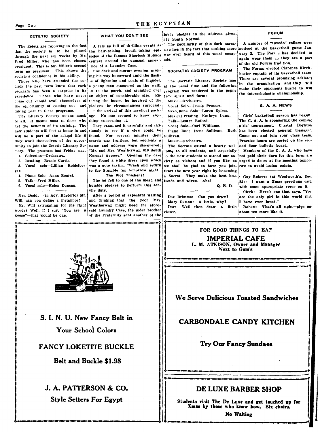# THE EGYPTIAN

### ZETETIC SOCIETY

The Zetets are rejoicing in the fact Fred Miller, who has been chosen centers around the unusual appear- ade. president. This is Mr. Miller's second nce of a Laundry Case. term as president. This shows the | One dark and stormy evening, gropsociety's confidence in his ability.

ciety the past term know that each a young man staggered up the walk, at the usual time and the following program has been a surprise in its  $n$  to the porch, and stumbled over excellence. Those who have never an object of considerable size. Encome out should avail themselves of tering the house, he inquired of the the opportunity of coming out and pledges the circumstances surround taking part in these programs.

The Literary Society means much to all. It means most to those who thing concerning it. get the benefits of its training. The new students will feel at home in and tiously to see if a clew could be will be a part of the school life if found. they avail themselves of the oppor- search was fruitless, but suddenly a tunity to join the Zetetic Literary So- | name and address were discovered: ciety. The program last Friday was:

1. Selection-Orchestra.

2. Reading-Bessie Curtis.

3. Vocal solo-Lillian Reidelbet ger.

- 4. Piano Solo-Anna Bourst.
- 5. Talk-Fred Miller.
- 6. Vocal solo-Helen Duncan.

Mrs. Dodd: (in Adv. Rhetoric) Mr.

Will, can you define a metaphor? Mr. Will (struggling for the right words) Well, if I say, "You are  $\mathbf{a}$ goose"-that would be one.

WHAT YOU DON'T SEE

ing his way homeward amid the flash-Those who have attended the so- s of lightning and peals of thunder,

the arrival of this mystical package. No one seemed to know any-

They examined it carefully and cau-For several minutes their Sullivan. "Mr. and Mrs. Weatherwax, 610 South Normal Avenue." Opening the case they found a white dress upon which was a note saying. "Wash and return to the Stumble Inn tomorrow night."

The Pint Thickens!

The lot fell to one of the mean and humble pledges to perform this servile duty.

After a period of expectant waiting and thinking that the poor Mrs. Weatherway might need the aforesaid Laundry Case, the older brother  $\overline{\phantom{a}}$  of the Fraternity sent another of the

lowly pledges to the address given, 110 South Normal.

A tale as full of thrilling events as " The peculiarity of this dark narrathat the society is to be piloted the hair-raising, breath-taking epi- tive lies in the fact that nothing more noticed at the basketball game Janthrough the next six weeks by Mr. sodes of the famous Sherlock Holmes was ever heard of this weird escap- uary 3. The Form i has decided to

SOCRATIC SOCIETY PROGRAM

The Socratic Literary Society met i rogram was rendered in the peppy 1927 spirit and form:

Music-Orchestra.

Vocal Solo-Jessie Prosser. Saxo hone Solo-Loren Spires. Musical reading-Kathryn Dunu. Talk-Lester Buford.

Vocal Solo-Carl Williams.

Music-Orchestra.

The Socrats extend a hearty welome to all students, and especially o the new students to attend our sowe shall be glad to have you join. row to avoid losing points. Start the new year right by becoming

tands and wives. Aha! Q. E. D.

Doc Brimms: Can you draw? Mary Sutton: A little, why? Well, then, draw a little Doc<sup>+</sup> closer.

FORUM

A number of "tuxedo' collars were again wear them is they are a part of the old Forum tradition.

The Forum elected Clarence Kirchhoefer captain of its basketball team. There are several promising athletes In the organization and they will make their opponents hustle to win the interscholastic championship.

G. A. A. NEWS

Girls' basketball season has begun! The G. A. A. is sponsoring the coming girls tournament. Crystal Boynton Piano Duet-Irene Sullivan, Ruth has been elected general manager. Come out and join your class team. Practice hours are posted on the second floor bulletin board.

Members of the G. A. A. who have not paid their dues for this term are ciety as visitors and if you like us urged to do so at the meeting tomor-

a Socrat. They make the best hus- Guy Roberts (at Woolworth's, Dec. 23): I want a Xmas greetings card with some appropriate verse on it. Clerk: Here's one that says, "You are the only girl in this world that

I have ever loved." Robert: That's all right-give me about ten more like it.



S. I. N. U. New Fancy Belt in **Your School Colors** 

# **FANCY LOKETITE BUCKLE**

## **Belt and Buckle \$1.98**

# J. A. PATTERSON & CO. **Style Setters For Egypt**

FOR GOOD THINGS TO EAT **IMPERIAL CAFE** L. M. ATKISON, Owner and Manager **Next to Gum's** 

# We Serve Delicious Toasted Sandwiches

# **CARBONDALE CANDY KITCHEN**

**Try Our Fancy Sundaes** 

# DE LUXE BARRER SHOP

Students visit The De Luxe and get touched up for Xmas by those who know how. Six chairs.

No Waiting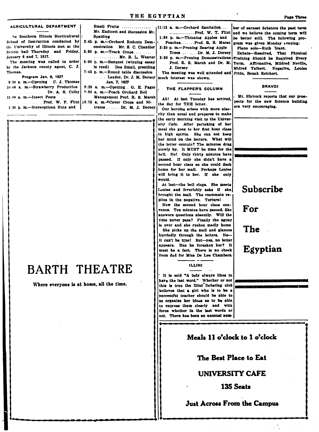### Small Fruits ............... AGRICULTURAL DEPARTMENT 11:15 a. m.-Orchard Sanitation... Mr. Endicott and discussion Mr. he Southern Illinois Horticultural **Spalding** 1:30 p. m.--Thinning Apples and School of Instruction conducted by 2:45 p. m.-Orchard Rodents Dem-Peaches....... Prof. R. S. Marsc the University of Illinois met at the onstration...Mr. S. C. Chandler 2:30 p. m.-Pruning Bearing Apple Zetetic hall Thursday and Friday,  $3:30$  p. m.---Truck Crops....... January 6 and 7, 1927. .............Mr. B. L. Weaver 3:30 n. m.-Pruning Demonstrations The meeting was called to order 6:00 p. m.-Banquet (winning essay by the Jackson county agent. C. J. is read). Dee Small, presiding J. Dorsey Thomas. 7:45 p. m.-Round table discussion The meeting was well attended and Program Jan. 6, 1927 ....... Leader, Dr. J. M. Dorsey much interest was shown.  $9:30$  a. m.--Opening C. J. Thomas Jan. 7. 1927 10:00 a. m.-Strawberry Production 9:20 a. m.--Opening...G. E. Fager THE FLAPPER'S COLUMN Dr. A. S. Colby 1:30 a. m.--Peach Orchard Soil 11:00 a. m.-Insect Pests Management Prof. R. S. Marsh ... Prof. W. P. Flint 10:15 a. m. ECover Crops and Nithe day for THE letter. 1:30 p. m.-Stereopticon Nuts and trates........Dr. M. J. Dorsey

# **BARTH THEATRE**

Where everyone is at home, all the time.

.............Prof. W. T. Flint

Trees . . . . . . Dr. M. J. Dorsey

Prof. R. S. Marsh and Dr. M.

Ah! At last Tuesday has arrived.

Our heroine arises with more alacrity than usual and prepares to make the early morning visit to the University Cafe. After partaking of her meal she goes to her first hour class in high spirits. She can not keep her mind on the lecture. What will the letter contain? The minutes drag slowly by. It MUST be time for the bell. No! Only thirty minutes have passed. If only she didn't have a second hour class so she could dash home for her mail. Perhaps Louise will bring it to her. If she only would.

At last-the bell rings. She meets Louise and feverishly asks if she brought the mail. The roommate replies in the negative. Torture!

Now the second hour class convenes. Ten minutes have passed. She answers questions absently. Will the time never pass? Finally the agony is over and she rushes madly home She picks up the mail and glances hurriedly through the letters. No-It can't be true! But-yes, no letter appears. Has he forsaken her? It must be a fact. There is no check from dad for Miss De Lee Chambers.

### **ILLINI**

It is said "A lady always likes to have the last word." Whether or not this is true the **Illini** Debating club believes that a girl who is to be a successful teacher should be able to so organize her ideas as to be able to express them clearly and with force whether in the last words or not. There has been an unusual num-

ber of earnest debators the past term and we believe the coming term will be better still. The following program was given Monday evening:

Piano solo-Ruth 3rant.

Debate-Resolved, That Physical Training Should be Required Every Term. Affirmative, Mildred Neville, Midred Talbert. Negative, Louise Pride. Beuah Reichert.

### **BRAVO!**

Mr. Shryock reports that our prospects for the new Science building are very encouraging.

# Subscribe

For

The

Egyptian

 $\overline{\phantom{a}}$ 

# Meals 11 o'clock to 1 o'clock

The Best Place to Eat

# **UNIVERSITY CAFE**

135 Seats

# **Just Across From the Campus**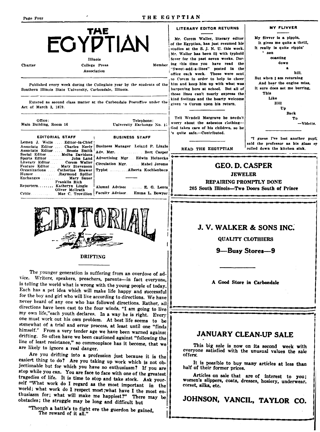

**Charter** 

**College Press** 

Association

Published every week during the Collegiate year by the students of the Southern Illinois State University, Carbondale, Illinois.

Entered as second class matter at the Carbondale Postoffice under the Act of March 3, 1879.

Office: Main Building, Room 16

**EDITORIAL STAFF** Lemen J. Wells...... Editor-in-Chief Associate Editor.....Charles Neely Bu Associate Editor... Bessie Smith Ad Social Editor Ad Sports Editor John Land Literary Editor<br>Feature Editor Corem Waller Cir Mary Stevenson Catherine Brewer<br>Raymond Spiller Organizations. Тy Humor **Exchanges** Mary Sauer Franklin Rich Reporters... Katheryn Lingle Oliver McIlrath Mae C. Trovillion Faculty Advisor. Critic.

| <b>BUSINESS STAFF</b>                                  |  |  |  |  |
|--------------------------------------------------------|--|--|--|--|
| siness Manager Leland P. Lingle                        |  |  |  |  |
|                                                        |  |  |  |  |
| v. Mgr. Bert Casper<br>vertising Mgr. . Edwin Heinecke |  |  |  |  |
| culation Mgr. Mabel Jerome                             |  |  |  |  |
| pist Alberta Kochlenbacp                               |  |  |  |  |

Telephone:

University Exchange No. 11

Alumni Advisor ..... E. G. Lentz Emma L. Bowyer



The younger generation is suffering from an overdose of advice. Writers, speakers, preachers, parents-in fact everyone, is telling the world what is wrong with the young people of today. Each has a pet idea which will make life happy and successful for the boy and girl who will live according to directions. We have never heard of any one who has followed directions. Rather, all directions have been cast to the four winds. "I am going to live my own life,"each youth declares. In a way he is right. Every one must work out his own problem. At best life seems to be somewhat of a trial and error process, at least until one "finds himself." From a very tender age we have been warned against drifting. So often have we been cautioned against "following the line of least resistance," so commonplace has it become, that we are likely to ignore a real danger.

Are you drifting into a profession just because it is the easiest thing to do? Are you taking up work which is not objectionable but for which you have no enthusiasm? If you are stop while you can. You are face to face with one of the greatest tragedies of life. It is time to stop and take stock. Ask yourself "What work do I regard as the most important in the world; what work do I respect most; what have I the most enthusiasm for; what will make me happiest?" There may be obstacles; the struggle may be long and difficult but

"Though a battle's to fight ere the guerdon be gained, The reward of it all."

### **LITERARY EDITOR RETURNS**

Mr. Corem Waller, literary editor of the Egyptian, has just resumed his studies at the S. J. N. U. this week. Mr. Waller has been ill with typhoid fever for the past seven weeks. Dur-Member ing this time you have read the "Sweet-add-a-lines" posted in the office each week. These were sent to Corem in order to help to cheer him and keep him up with what was happening here at school. But all of those lines can't nearly express the kind feelings and the hearty welcome given to Corem upon his return.

> Tell Wendell Margrave he needn't worry about the asbestos clothing-God takes care of his children, so he 's quite safe.-Contributed.

> > READ THE EEGYPTIAN

### My flivver is a pippin. It gives me quite a thrill. It really is quite rippin' ' nen coasting down hill. But when I am returning And hear the engine miss. It sure does set me burring. **This** Like Hill Up **Back** To -Vidette.

**MY FLIVVER** 

"I guess I've lost another pupil," said the professor as his glass ey rolled down the kitchen sink.

# **GEO. D. CASPER**

**JEWELER** 

REPAIRING PROMPTLY DONE 205 South Illinois-Two Doors South of Prince

# J.V. WALKER & SONS INC.

**QUALITY CLOTHIERS** 

9—Busy Stores—9

A Good Store in Carbondale

# JANUARY CLEAN-UP SALE

This big sale is now on its second week with everyone satisfied with the unusual values the sale offers.

It is possible to buy many articles at less than half of their former prices.

Articles on sale that are of interest to you; women's slippers, coats, dresses, hosiery, underwear, corset, silks, etc.

JOHNSON, VANCIL, TAYLOR CO.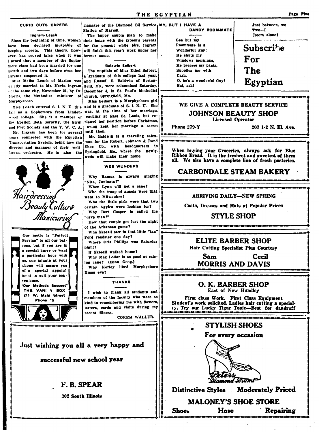### **CUPID CUTS CAPERS**

### Ingram-Leach

Since the beginning of time, women their home with the groom's parents have been declared incapable of for the present while Mrs. Ingram keeping secrets. This theory, how- will finish this year's work under her ever, has proved false when it was former name. I arned that a member of the Sophomore class had been married for one month and two days before even her sarents suspected it.

quietly married to Mr. Nevin Ingram field, Mo., were solemnized Saturday, of the same city, November 21, by Dr. December 4, in St. Paul's Methodist Morris, the Methodist minister of church, Springfield, Mo. Murnhyshoro.

Miss Leach entered S. I. N. U. this fall as a Sophomore from Lindenwood college. She is a member of the Epsilon Beta Sorority, the Strut and Fret Society and the Y. W. C. A.

Mr. Ingram has been for several vears connected with the Egyptian Transportation System, being now the director and manager of their wellhown orchestra. He is also the



manager of the Diamond Oil Service, MY, BUT I HAVE A Station of Marion.

The happy couple plan to make

### **Raldwin-Seibert**

The nuptials of Miss Ethel Seibert. a graduate of this college last year. Miss Melba Leach of Marion was and Russell S. Baldwin of Spring-

Miss Seibert is a Murphysboro girl and is a graduate of S. I. N. U. She was, at the time of her marriage, eaching at East St. Louis, but resigned her position before Christmas, aving kept her marriage a secret until then.

Mr. Baldwin is a traveling salesman for the Robert, Johnson & Rand Shoe Co., with headquarters in Springfield, Mo., where the newlyweds will make their home.

### WEE WUNDERS

Why Ramus is always singing "Nita. Juninata?"

- When Lynn will get a cane? Who the troop of angels were that
- went to Milwaukee? Who the little girls were that two
- certain Aggles were looking for? Why Bert Casper is called the
- "cave man?" How that couple got lost the night
- of the Arkansas game? Who Skeezil saw in that little "tan"
- Ford roadster one day? Where Otis Phillips was Saturday
- night? If Skeezil walked home?
- Why Max Lollar is so good at rais-
- ing cane? (Econ. Geog.) Why Kerley liked Murphysboro
- Xmas eve?

### THANK8

I wish to thank all students and members of the faculty who were so kind in remembering me with flowers, letters, cards and visits during my recent illness.

COREM WALLER.

# Just wishing you all a very happy and

successful new school year

# F. R. SPEAR

**302 South Illinois** 

Gee but my Roommate is a Wonderful guy! He shuts my Windows mornings. He presses my pants. Supplies me with Cash. O, he's a wonderful Guy! But. ssh!

DANDY ROOM-MATE

Just between, we  $T \pi 0$ -I Room alonef

**Subscribe** For The Egyptian

# WE GIVE A COMPLETE BEAUTY SERVICE

### **JOHNSON BEAUTY SHOP Licensed Operator**

Phone 279-Y

207 1-2 N. Ill. Ave.

When buying your Groceries, always ask for Blue<br>Ribbon Bread. It is the freshest and sweetest of them all. We also have a complete line of fresh pasteries.

# **CARBONDALE STEAM BAKERY**

### ARRIVING DAILY-NEW SPRING

Coats, Dresses and Hats at Popular Prices

### **STYLE SHOP**

### **ELITE BARBER SHOP** Hair Cutting Specialist Plus Courtesv

Sam Cecil **MORRIS AND DAVIS** 

O. K. BARBER SHOP East of New Hundley

First class Work. First Class Equipment Student's work solicited. Ladies hair cutting a specialiy. Try our Lucky Tigar Tonic-Best for dandruff

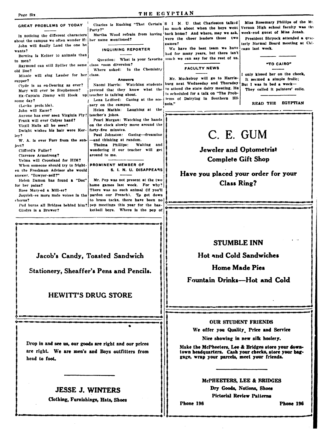| Page Six                                                                                                                                                                                                                                                                                                                                                                                                                                                                                                                                                                                                                                                                                                                                                                                                                                                                                                                                                                                                                                                                                                                                                                                                                                                                                                                                                                                                                                                                                                                                                                                                                                                                                                                                                                                                                                                                                                                                                                   | THE EGYPTIAN                                                                                                                                                                                                                                                                                                                                                                                                                                                                                                                                                                                                                                                                                                                                                                                                                                                                                                                                                                                                                                                                                                                              |  |
|----------------------------------------------------------------------------------------------------------------------------------------------------------------------------------------------------------------------------------------------------------------------------------------------------------------------------------------------------------------------------------------------------------------------------------------------------------------------------------------------------------------------------------------------------------------------------------------------------------------------------------------------------------------------------------------------------------------------------------------------------------------------------------------------------------------------------------------------------------------------------------------------------------------------------------------------------------------------------------------------------------------------------------------------------------------------------------------------------------------------------------------------------------------------------------------------------------------------------------------------------------------------------------------------------------------------------------------------------------------------------------------------------------------------------------------------------------------------------------------------------------------------------------------------------------------------------------------------------------------------------------------------------------------------------------------------------------------------------------------------------------------------------------------------------------------------------------------------------------------------------------------------------------------------------------------------------------------------------|-------------------------------------------------------------------------------------------------------------------------------------------------------------------------------------------------------------------------------------------------------------------------------------------------------------------------------------------------------------------------------------------------------------------------------------------------------------------------------------------------------------------------------------------------------------------------------------------------------------------------------------------------------------------------------------------------------------------------------------------------------------------------------------------------------------------------------------------------------------------------------------------------------------------------------------------------------------------------------------------------------------------------------------------------------------------------------------------------------------------------------------------|--|
| GREAT PROBLEMS OF TODAY<br>Party?"<br>In noticing the different characters<br>her name mentioned?<br>about the campus we often wonder if:<br>John will finally Land the one he<br>INQUIRING REPORTER<br>wants?<br>Bernice is Keiner to animals than<br>to men?<br>Raymond can still Spiller the same class room diversion?<br>Where asked: In the Chemistry<br>old line?<br>Minnie will sing Lauder for her class.<br>Answers<br>supper?<br>Naomi Harris: Watching students<br>Clyde is as en-Dearing as ever?<br>pretend that they know what the<br>Mary will ever be Stephenson?<br>Ex-Captain Jimmy will Hook up teacher is talking about.<br>Lena Ledford: Gazing at the sce-<br>some day?<br>nery on the campus.<br>(Leoks probable).<br>Helen Mathis:<br>Laughing at the<br>John will Eater?<br>Anyone has ever seen Virginia Fly! teacher's jokes.<br>Pearl Morgan: Watching the hands<br>Frank will ever Colyer hand?<br>on the clock slowly move around the<br>Virgil Hails all he sees?<br>forty-five minutes.<br>Dwight wishes his hair were Ker-<br>Paul Johnston: Gazing-dreaming<br>ley?<br>-and thinking at random.<br>W. A. is ever Furr from the sub-<br>Thelma Phillips:<br>Waiting and<br>ject?<br>wondering if our teacher will get<br>Clifford's Fuller?<br>around to me.<br>Clarence Armstrong?<br>Velma will Crossland for HIM?<br>PROMINENT MEMBER OF<br>When someone should try to fright-<br>S. I. N. U. DISAPPEARS<br>en the Freshman Advisor she would<br>answer. "Bowyer-self?"<br>Mr. Pep was not present at the two<br>Helen Damon has found a "Doc"<br>home games last week. For why?<br>for her pains?<br>There was no such animal (if you'll<br>Rose Mary-ed a Mill-er?<br>pardon our French). To get down<br>Jaquish-es more male voices in the<br>to brass tacks, there have been no<br>chorus?<br>Pud burns all Bridges behind him?   pep meetings this year for the bas-<br>ketball boys. Where is the pep of<br>Gladys is a Brewer? | Miss Rosemary Phillips of the Mt.<br>Charles is Rushing "That Certain S I N. U. that Charleston talked<br>Vernon High school faculty was the<br>so much about when the boys went<br>week-end guest of Miss Jonah.<br>Martha Wood refrain from having back home? And where, may we ask,<br>President Shryock attended a quar-<br>were the cheer leaders those two<br>terly Normal Board meeting at Chi-<br>games?<br>We have the best team we have<br>cago last week.<br>had for many years, but there isn't<br>Question: What is your favorite much we can say for the rest of us.<br>"TO CAIRO"<br><b>FACULTY NEWS</b><br>I only kissed her on the cheek.<br>Mr. Muckelroy will go to Harris-<br>It seemed a simple frolic;<br>burg next Wednesday and Thursday<br>But I was in bed a week-<br>to attend the state dairy meeting. He<br>They called it painters' colic.<br>is scheduled for a talk on "The Prob-<br>lems of Dairying in Southern Illi-<br><b>EGYPTIAN</b><br>READ THE<br>nois."<br>C. E. GUM<br><b>Jeweler and Optometrist</b><br><b>Complete Gift Shop</b><br>Have you placed your order for your<br><b>Class Ring?</b> |  |
| Jacob's Candy, Toasted Sandwich<br>Stationery, Sheaffer's Pens and Pencils.                                                                                                                                                                                                                                                                                                                                                                                                                                                                                                                                                                                                                                                                                                                                                                                                                                                                                                                                                                                                                                                                                                                                                                                                                                                                                                                                                                                                                                                                                                                                                                                                                                                                                                                                                                                                                                                                                                | <b>STUMBLE INN</b><br><b>Hot and Cold Sandwiches</b><br>Home Made Pies<br>Fountain Drinks-Hot and Cold                                                                                                                                                                                                                                                                                                                                                                                                                                                                                                                                                                                                                                                                                                                                                                                                                                                                                                                                                                                                                                    |  |
| <b>HEWITT'S DRUG STORE</b>                                                                                                                                                                                                                                                                                                                                                                                                                                                                                                                                                                                                                                                                                                                                                                                                                                                                                                                                                                                                                                                                                                                                                                                                                                                                                                                                                                                                                                                                                                                                                                                                                                                                                                                                                                                                                                                                                                                                                 |                                                                                                                                                                                                                                                                                                                                                                                                                                                                                                                                                                                                                                                                                                                                                                                                                                                                                                                                                                                                                                                                                                                                           |  |
| Drop in and see us, our goods are right and our prices<br>are right. We are men's and Boys outfitters from<br>head to foot.<br><b>JESSE J. WINTERS</b><br>Clothing, Furnishings, Hats, Shoes                                                                                                                                                                                                                                                                                                                                                                                                                                                                                                                                                                                                                                                                                                                                                                                                                                                                                                                                                                                                                                                                                                                                                                                                                                                                                                                                                                                                                                                                                                                                                                                                                                                                                                                                                                               | <b>OUR STUDENT FRIENDS</b><br>We offer you Quality Price and Service<br>Nice showing in new silk hosiery.<br>Make the McPheeters, Lee & Bridges store your down-<br>town headquarters. Cash your checks, store your bag-<br>gage, wrap your parcels, meet your friends.<br>MCPHEETERS, LEE & BRIDGES<br>Dry Goods, Notions, Shoes<br><b>Pictorial Review Patterns</b>                                                                                                                                                                                                                                                                                                                                                                                                                                                                                                                                                                                                                                                                                                                                                                     |  |
|                                                                                                                                                                                                                                                                                                                                                                                                                                                                                                                                                                                                                                                                                                                                                                                                                                                                                                                                                                                                                                                                                                                                                                                                                                                                                                                                                                                                                                                                                                                                                                                                                                                                                                                                                                                                                                                                                                                                                                            | Phone 196<br>Phone 196                                                                                                                                                                                                                                                                                                                                                                                                                                                                                                                                                                                                                                                                                                                                                                                                                                                                                                                                                                                                                                                                                                                    |  |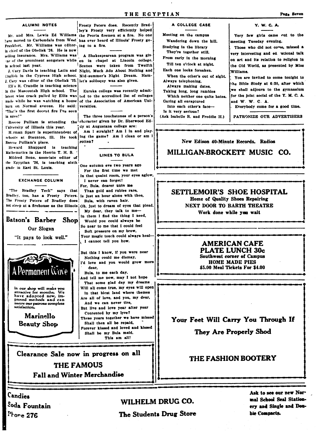A COLLEGE CASE

Wandering down the hill.

Meeting on the campus

Studying in the library

They're together still.

From early in the morning

Till ten o'clock at night.

When the other's out of sight.

Which neither one quite hates.

Each one looks forsaken.

Always making dates,

Taking long, long rambles

Into each other's face-

(Ask Isabelle R. and Freddie H.)

Always telephoning,

Gazing all enraptured

Is it very serious?

### ALUMNI NOTES

have moved to Carbondale from West has ever heard of Illinois' Frosty go-Frankfort. Mr. Williams was editor- ing to a fire. in chief of the Obelisk '26. He is now selling insurance. Mrs. Williams was in school last year.

J. Cary was editor of the Obelisk '25. let's soliloquy was also given.

FIEs R. Crandle is teaching science in the Mascoutah High school. The latest wise crack pulled by Ellis was made while he was watching a house burn on Normal avenue. He said: "That's the first decent fire I've seen in ages!"

University of Illinois this year.

H.rman Sparr is superintendent of Roscoe Pulliam's place.

Howard Shappard is teaching Mathematics in the Herrin T. H. S. Mildred Bone, associate editor of the Egyptian '26, is teaching sixth grade in East St. Louis.

**EXCHANGE COLUMN** 

"The Bradley Tech" says that Bradley, too, has a Frosty Peters. Is just an hour alone with thee, The Frosty Peters of Bradley does not sleep at a firehouse as the Illinois Oh, just to dream of eyes that plead.

Batson's Barber Shop Our Slogan

"It pays to look well."



proved methods and can assure our patrons complete

Marinello **Beauty Shop** 

Frosty Peters does. Recently Bradley's Frosty very efficiently helped Mr. and Mrs. Lewis Ed Williams the Peoria firemen at a fire. No one

A Shakespearean program was givthe of the prominent songsters while en in chapel at Lincoln college. Scenes were taken from Twelfth J. Cary Davis is teaching Latin and Night, Much Ado About Nothing and English in the Cypress High school. Mid-summer's Night Dream. Ham-

> Eureka college was recently admitted to the accredited list of colleges of the Association of American Universities

The three touchstones of a person's Roscoe Pulliam is attending the character given by Dr. Sherwood Eddy at Augustana college are:

Am I straight? Am I in and playschools at Staunton, Ill. He took ing the game? Am I clean or am I rotten?

### LINES TO BULA

One autumn eve two years ago For the first time we met In that quaint room, your eyes aglow, I never can forget!

For, Bula, dearer unto me Than gold and rubies rare, Bula, with raven hair.

My dear, they talk to me-In them I find the thing I need,

Would you could always be So near to me that I could feel Soft pressure on my brow, Your magic touch could always heal-I cannot tell you how.

But this I know, if you were near Nothing could me dismay, I'd love and you would grow more

dear.

Bula, to me each day. And tell me now, may I not hope That some glad day my dreams

Will all come true, my eyes will open In that blest land where themes Are all of love, and you, my dear, And we can never tire,

But live and love year after year Contented by my lyre?

These years together we have missed Shall then all be repaid, Forever kissed and loved and kissed Shall be my Bula maid. This am all!

Clearance Sale now in progress on all **THE FAMOUS** 

Fall and Winter Merchandise

Candies Soda Fountain Phone 276

# WILHELM DRUG CO.

# The Students Drug Store

# Y. W. C. A.

Very few girls came out to the meeting Tuesday evening.

Those who did not covue, missed a very interesting and ed attional talk on art and its relation to religion in the Old World, as presented by Miss Williame

You are invited to come tonight to he Bible Study at 6:30, after which we shall adjourn to the gymnasium for the joint social of the Y. M. C. A. and W. W. C. A.

Everybody come for a good time.

PATRONIZE OUR ADVERTISERS

### New Edison 40-Minute Records. Radios

MILLIGAN-BROCKETT MUSIC CO.

## SETTLEMOIR'S SHOE HOSPITAL Home of Quality Shoes Repairing NEXT DOOR TO BARTH THEATRE Work done while you wait

## **AMERICAN CAFE PLATE LUNCH 30c Southwest corner of Campus HOME MADE PIES**

\$5.00 Meal Tickets For \$4.00

Your Feet Will Carry You Through If

They Are Properly Shod

# **THE FASHION BOOTERY**

Ask to see our new Normal School Seal Stationery and Single and Double Compacts.